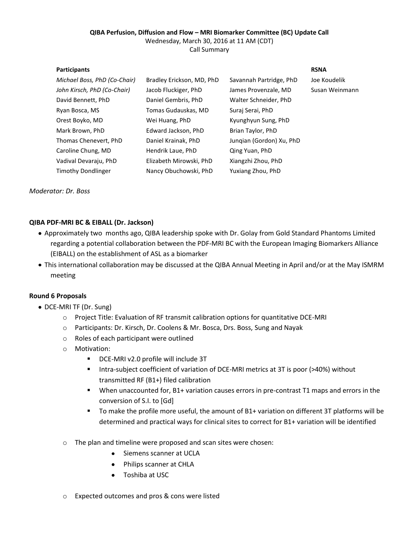### **QIBA Perfusion, Diffusion and Flow – MRI Biomarker Committee (BC) Update Call** Wednesday, March 30, 2016 at 11 AM (CDT)

Call Summary

### **Participants RSNA**

| Michael Boss, PhD (Co-Chair) | Bradley Erickson, MD, PhD | Savannah Partridge, PhD  | Joe Koudelik   |
|------------------------------|---------------------------|--------------------------|----------------|
| John Kirsch, PhD (Co-Chair)  | Jacob Fluckiger, PhD      | James Provenzale, MD     | Susan Weinmann |
| David Bennett, PhD           | Daniel Gembris, PhD       | Walter Schneider, PhD    |                |
| Ryan Bosca, MS               | Tomas Gudauskas, MD       | Suraj Serai, PhD         |                |
| Orest Boyko, MD              | Wei Huang, PhD            | Kyunghyun Sung, PhD      |                |
| Mark Brown, PhD              | Edward Jackson, PhD       | Brian Taylor, PhD        |                |
| Thomas Chenevert, PhD        | Daniel Krainak, PhD       | Jungian (Gordon) Xu, PhD |                |
| Caroline Chung, MD           | Hendrik Laue, PhD         | Qing Yuan, PhD           |                |
| Vadival Devaraju, PhD        | Elizabeth Mirowski, PhD   | Xiangzhi Zhou, PhD       |                |
| <b>Timothy Dondlinger</b>    | Nancy Obuchowski, PhD     | Yuxiang Zhou, PhD        |                |
|                              |                           |                          |                |

*Moderator: Dr. Boss*

# **QIBA PDF-MRI BC & EIBALL (Dr. Jackson)**

- Approximately two months ago, QIBA leadership spoke with Dr. Golay from Gold Standard Phantoms Limited regarding a potential collaboration between the PDF-MRI BC with the European Imaging Biomarkers Alliance (EIBALL) on the establishment of ASL as a biomarker
- This international collaboration may be discussed at the QIBA Annual Meeting in April and/or at the May ISMRM meeting

# **Round 6 Proposals**

- DCE-MRI TF (Dr. Sung)
	- o Project Title: Evaluation of RF transmit calibration options for quantitative DCE-MRI
	- o Participants: Dr. Kirsch, Dr. Coolens & Mr. Bosca, Drs. Boss, Sung and Nayak
	- o Roles of each participant were outlined
	- o Motivation:
		- DCE-MRI v2.0 profile will include 3T
		- Intra-subject coefficient of variation of DCE-MRI metrics at 3T is poor (>40%) without transmitted RF (B1+) filed calibration
		- When unaccounted for, B1+ variation causes errors in pre-contrast T1 maps and errors in the conversion of S.I. to [Gd]
		- To make the profile more useful, the amount of B1+ variation on different 3T platforms will be determined and practical ways for clinical sites to correct for B1+ variation will be identified
	- o The plan and timeline were proposed and scan sites were chosen:
		- $\bullet$ Siemens scanner at UCLA
		- Philips scanner at CHLA
		- Toshiba at USC
	- o Expected outcomes and pros & cons were listed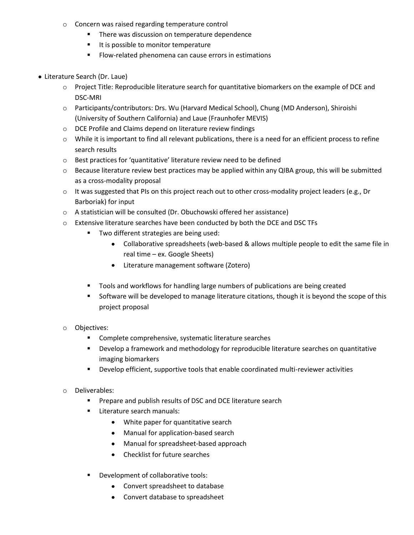- o Concern was raised regarding temperature control
	- **There was discussion on temperature dependence**
	- It is possible to monitor temperature
	- **FIOW-related phenomena can cause errors in estimations**
- Literature Search (Dr. Laue)
	- o Project Title: Reproducible literature search for quantitative biomarkers on the example of DCE and DSC-MRI
	- o Participants/contributors: Drs. Wu (Harvard Medical School), Chung (MD Anderson), Shiroishi (University of Southern California) and Laue (Fraunhofer MEVIS)
	- o DCE Profile and Claims depend on literature review findings
	- o While it is important to find all relevant publications, there is a need for an efficient process to refine search results
	- o Best practices for 'quantitative' literature review need to be defined
	- o Because literature review best practices may be applied within any QIBA group, this will be submitted as a cross-modality proposal
	- o It was suggested that PIs on this project reach out to other cross-modality project leaders (e.g., Dr Barboriak) for input
	- o A statistician will be consulted (Dr. Obuchowski offered her assistance)
	- o Extensive literature searches have been conducted by both the DCE and DSC TFs
		- **Two different strategies are being used:** 
			- Collaborative spreadsheets (web-based & allows multiple people to edit the same file in real time – ex. Google Sheets)
			- Literature management software (Zotero)
		- Tools and workflows for handling large numbers of publications are being created
		- Software will be developed to manage literature citations, though it is beyond the scope of this project proposal
	- o Objectives:
		- **EXECOMPLEE COMPTED COMPTED SYSTEMATIC LITERATION** Complete comprehensive, systematic literature searches
		- **Develop a framework and methodology for reproducible literature searches on quantitative** imaging biomarkers
		- Develop efficient, supportive tools that enable coordinated multi-reviewer activities
	- Deliverables:
		- Prepare and publish results of DSC and DCE literature search
		- **Literature search manuals:** 
			- White paper for quantitative search
			- Manual for application-based search
			- Manual for spreadsheet-based approach
			- Checklist for future searches  $\bullet$
		- Development of collaborative tools:
			- Convert spreadsheet to database
			- Convert database to spreadsheet